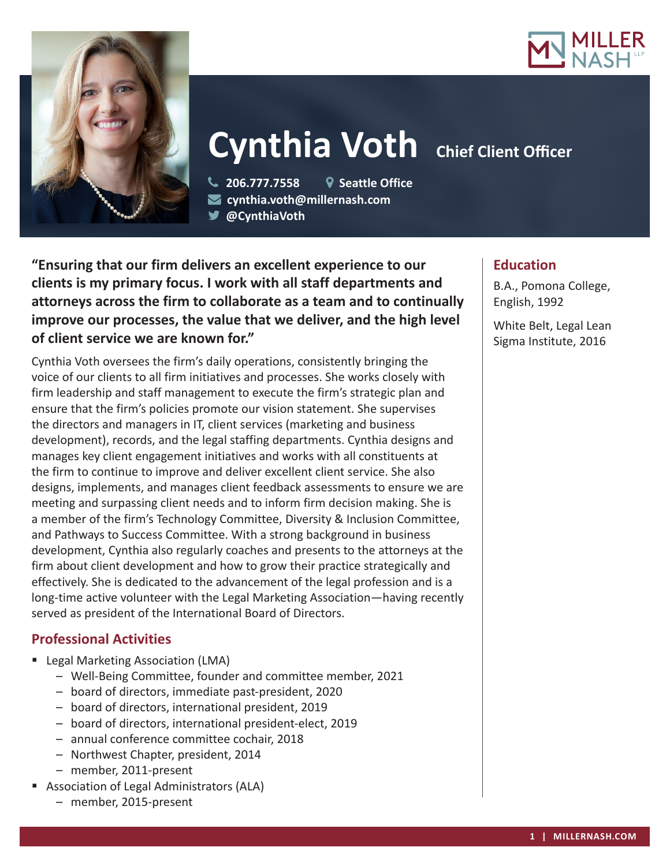



# **Cynthia Voth Chief Client Officer**

 **206.777.7558 Seattle Office cynthia.voth@millernash.com @CynthiaVoth**

**"Ensuring that our firm delivers an excellent experience to our clients is my primary focus. I work with all staff departments and attorneys across the firm to collaborate as a team and to continually improve our processes, the value that we deliver, and the high level of client service we are known for."**

Cynthia Voth oversees the firm's daily operations, consistently bringing the voice of our clients to all firm initiatives and processes. She works closely with firm leadership and staff management to execute the firm's strategic plan and ensure that the firm's policies promote our vision statement. She supervises the directors and managers in IT, client services (marketing and business development), records, and the legal staffing departments. Cynthia designs and manages key client engagement initiatives and works with all constituents at the firm to continue to improve and deliver excellent client service. She also designs, implements, and manages client feedback assessments to ensure we are meeting and surpassing client needs and to inform firm decision making. She is a member of the firm's Technology Committee, Diversity & Inclusion Committee, and Pathways to Success Committee. With a strong background in business development, Cynthia also regularly coaches and presents to the attorneys at the firm about client development and how to grow their practice strategically and effectively. She is dedicated to the advancement of the legal profession and is a long-time active volunteer with the Legal Marketing Association—having recently served as president of the International Board of Directors.

## **Professional Activities**

- **Legal Marketing Association (LMA)** 
	- Well-Being Committee, founder and committee member, 2021
	- board of directors, immediate past-president, 2020
	- board of directors, international president, 2019
	- board of directors, international president-elect, 2019
	- annual conference committee cochair, 2018
	- Northwest Chapter, president, 2014
	- member, 2011-present
- **Association of Legal Administrators (ALA)** 
	- member, 2015-present

## **Education**

B.A., Pomona College, English, 1992

White Belt, Legal Lean Sigma Institute, 2016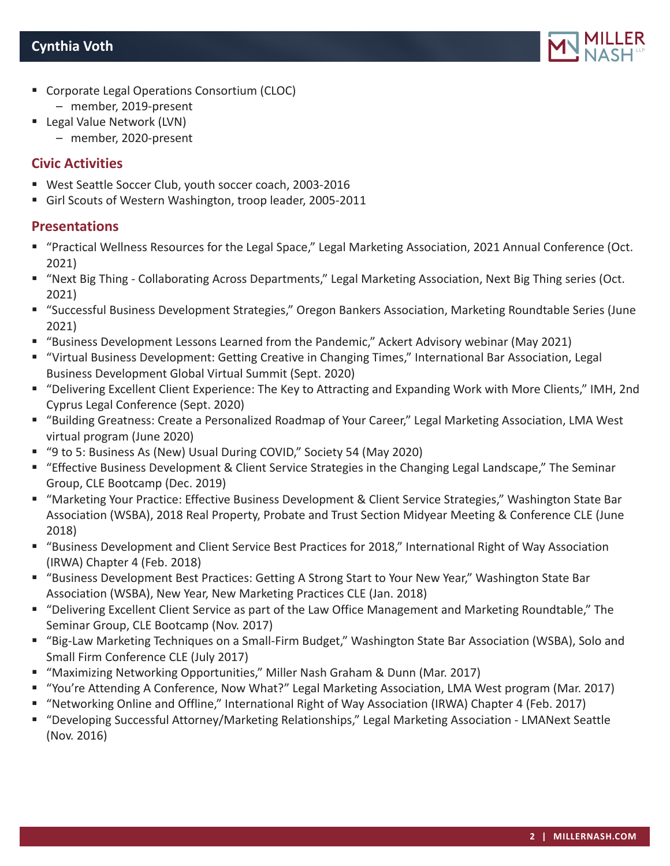

- **Corporate Legal Operations Consortium (CLOC)** – member, 2019-present
- Legal Value Network (LVN)
	- member, 2020-present

#### **Civic Activities**

- West Seattle Soccer Club, youth soccer coach, 2003-2016
- Girl Scouts of Western Washington, troop leader, 2005-2011

### **Presentations**

- "Practical Wellness Resources for the Legal Space," Legal Marketing Association, 2021 Annual Conference (Oct. 2021)
- "Next Big Thing Collaborating Across Departments," Legal Marketing Association, Next Big Thing series (Oct. 2021)
- "Successful Business Development Strategies," Oregon Bankers Association, Marketing Roundtable Series (June 2021)
- "Business Development Lessons Learned from the Pandemic," Ackert Advisory webinar (May 2021)
- "Virtual Business Development: Getting Creative in Changing Times," International Bar Association, Legal Business Development Global Virtual Summit (Sept. 2020)
- "Delivering Excellent Client Experience: The Key to Attracting and Expanding Work with More Clients," IMH, 2nd Cyprus Legal Conference (Sept. 2020)
- "Building Greatness: Create a Personalized Roadmap of Your Career," Legal Marketing Association, LMA West virtual program (June 2020)
- "9 to 5: Business As (New) Usual During COVID," Society 54 (May 2020)
- "Effective Business Development & Client Service Strategies in the Changing Legal Landscape," The Seminar Group, CLE Bootcamp (Dec. 2019)
- "Marketing Your Practice: Effective Business Development & Client Service Strategies," Washington State Bar Association (WSBA), 2018 Real Property, Probate and Trust Section Midyear Meeting & Conference CLE (June 2018)
- "Business Development and Client Service Best Practices for 2018," International Right of Way Association (IRWA) Chapter 4 (Feb. 2018)
- "Business Development Best Practices: Getting A Strong Start to Your New Year," Washington State Bar Association (WSBA), New Year, New Marketing Practices CLE (Jan. 2018)
- "Delivering Excellent Client Service as part of the Law Office Management and Marketing Roundtable," The Seminar Group, CLE Bootcamp (Nov. 2017)
- "Big-Law Marketing Techniques on a Small-Firm Budget," Washington State Bar Association (WSBA), Solo and Small Firm Conference CLE (July 2017)
- "Maximizing Networking Opportunities," Miller Nash Graham & Dunn (Mar. 2017)
- "You're Attending A Conference, Now What?" Legal Marketing Association, LMA West program (Mar. 2017)
- "Networking Online and Offline," International Right of Way Association (IRWA) Chapter 4 (Feb. 2017)
- "Developing Successful Attorney/Marketing Relationships," Legal Marketing Association LMANext Seattle (Nov. 2016)